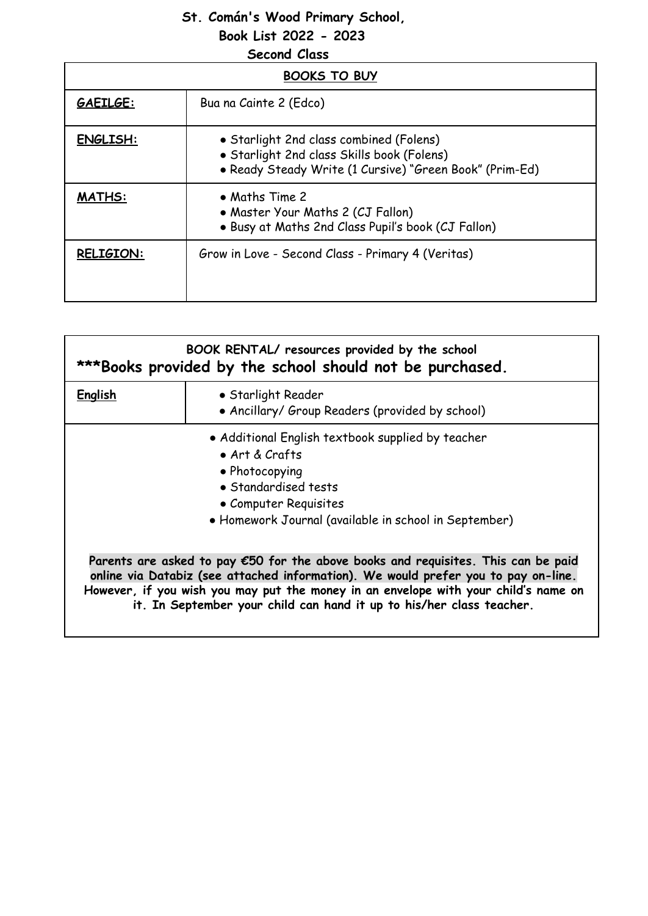## **St. Comán's Wood Primary School,**

**Book List 2022 - 2023**

| <b>Second Class</b> |                                                                                                                                                  |  |
|---------------------|--------------------------------------------------------------------------------------------------------------------------------------------------|--|
| <b>BOOKS TO BUY</b> |                                                                                                                                                  |  |
| GAEILGE:            | Bua na Cainte 2 (Edco)                                                                                                                           |  |
| <b>ENGLISH:</b>     | • Starlight 2nd class combined (Folens)<br>• Starlight 2nd class Skills book (Folens)<br>• Ready Steady Write (1 Cursive) "Green Book" (Prim-Ed) |  |
| <b>MATHS:</b>       | • Maths Time 2<br>• Master Your Maths 2 (CJ Fallon)<br>. Busy at Maths 2nd Class Pupil's book (CJ Fallon)                                        |  |
| <b>RELIGION:</b>    | Grow in Love - Second Class - Primary 4 (Veritas)                                                                                                |  |

| BOOK RENTAL/ resources provided by the school<br>***Books provided by the school should not be purchased. |                                                                                                                                                                                                                                                                                                                                                  |
|-----------------------------------------------------------------------------------------------------------|--------------------------------------------------------------------------------------------------------------------------------------------------------------------------------------------------------------------------------------------------------------------------------------------------------------------------------------------------|
| <b>English</b>                                                                                            | • Starlight Reader<br>• Ancillary/ Group Readers (provided by school)                                                                                                                                                                                                                                                                            |
|                                                                                                           | • Additional English textbook supplied by teacher<br>$\bullet$ Art & Crafts<br>• Photocopying<br>• Standardised tests<br>• Computer Requisites<br>• Homework Journal (available in school in September)                                                                                                                                          |
|                                                                                                           | Parents are asked to pay $\epsilon$ 50 for the above books and requisites. This can be paid<br>online via Databiz (see attached information). We would prefer you to pay on-line.<br>However, if you wish you may put the money in an envelope with your child's name on<br>it. In September your child can hand it up to his/her class teacher. |